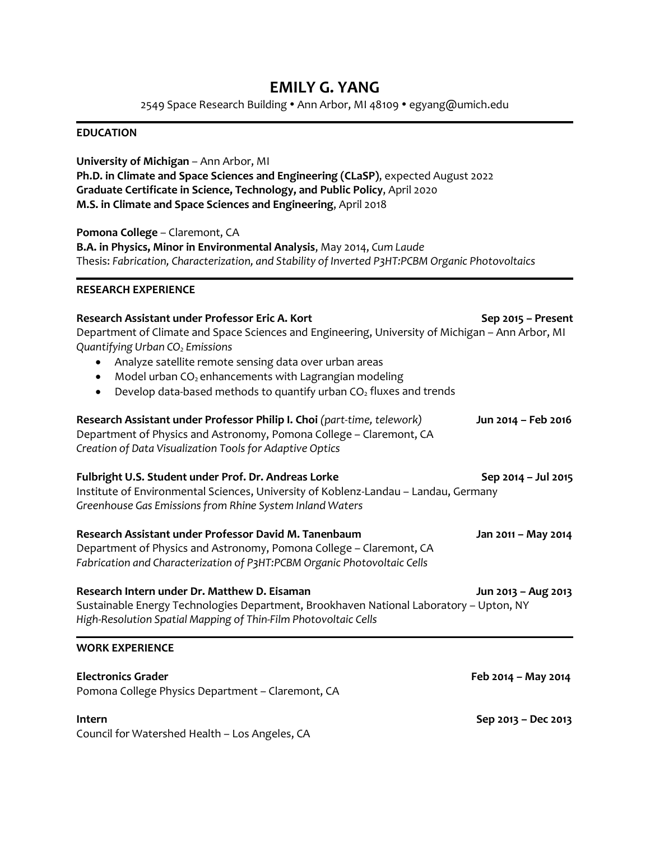# **EMILY G. YANG**

2549 Space Research Building . Ann Arbor, MI 48109 . egyang@umich.edu

#### **EDUCATION**

## **University of Michigan** – Ann Arbor, MI **Ph.D. in Climate and Space Sciences and Engineering (CLaSP)**, expected August 2022 **Graduate Certificate in Science, Technology, and Public Policy**, April 2020 **M.S. in Climate and Space Sciences and Engineering**, April 2018

**Pomona College** – Claremont, CA **B.A. in Physics, Minor in Environmental Analysis**, May 2014, *Cum Laude* Thesis: *Fabrication, Characterization, and Stability of Inverted P3HT:PCBM Organic Photovoltaics*

### **RESEARCH EXPERIENCE**

| Research Assistant under Professor Eric A. Kort<br>Department of Climate and Space Sciences and Engineering, University of Michigan - Ann Arbor, MI<br>Quantifying Urban CO <sub>2</sub> Emissions<br>Analyze satellite remote sensing data over urban areas<br>Model urban CO <sub>2</sub> enhancements with Lagrangian modeling<br>Develop data-based methods to quantify urban $CO2$ fluxes and trends | Sep 2015 - Present  |
|-----------------------------------------------------------------------------------------------------------------------------------------------------------------------------------------------------------------------------------------------------------------------------------------------------------------------------------------------------------------------------------------------------------|---------------------|
| Research Assistant under Professor Philip I. Choi (part-time, telework)<br>Department of Physics and Astronomy, Pomona College - Claremont, CA<br>Creation of Data Visualization Tools for Adaptive Optics                                                                                                                                                                                                | Jun 2014 - Feb 2016 |
| Fulbright U.S. Student under Prof. Dr. Andreas Lorke<br>Institute of Environmental Sciences, University of Koblenz-Landau - Landau, Germany<br>Greenhouse Gas Emissions from Rhine System Inland Waters                                                                                                                                                                                                   | Sep 2014 - Jul 2015 |
| Research Assistant under Professor David M. Tanenbaum<br>Department of Physics and Astronomy, Pomona College - Claremont, CA<br>Fabrication and Characterization of P3HT:PCBM Organic Photovoltaic Cells                                                                                                                                                                                                  | Jan 2011 - May 2014 |
| Research Intern under Dr. Matthew D. Eisaman<br>Sustainable Energy Technologies Department, Brookhaven National Laboratory - Upton, NY<br>High-Resolution Spatial Mapping of Thin-Film Photovoltaic Cells                                                                                                                                                                                                 | Jun 2013 - Aug 2013 |
| <b>WORK EXPERIENCE</b>                                                                                                                                                                                                                                                                                                                                                                                    |                     |
| <b>Electronics Grader</b><br>Pomona College Physics Department - Claremont, CA                                                                                                                                                                                                                                                                                                                            | Feb 2014 - May 2014 |

Council for Watershed Health – Los Angeles, CA

**Intern Sep 2013 – Dec 2013**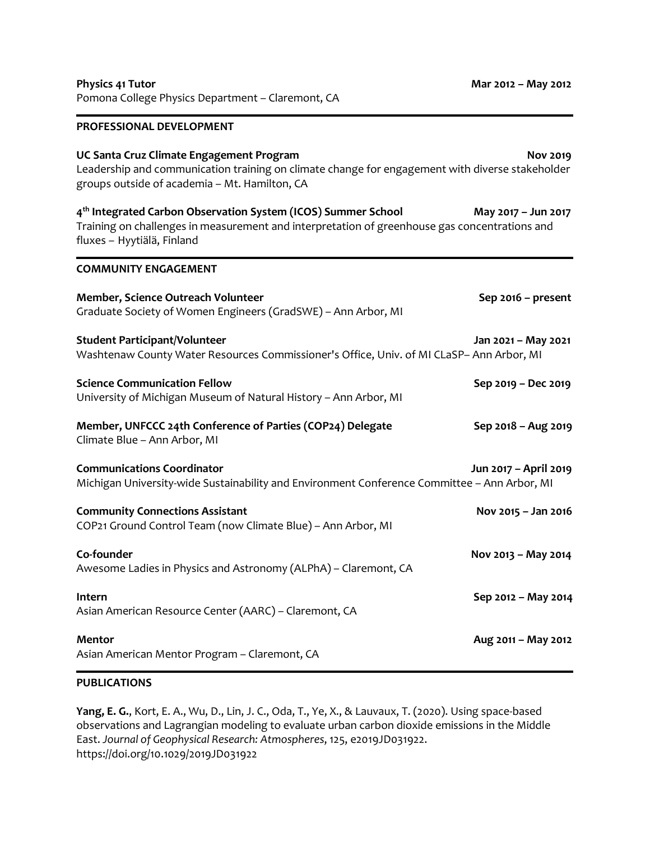| Pomona College Physics Department - Claremont, CA                                                                                                                                                        |                       |
|----------------------------------------------------------------------------------------------------------------------------------------------------------------------------------------------------------|-----------------------|
| PROFESSIONAL DEVELOPMENT                                                                                                                                                                                 |                       |
| UC Santa Cruz Climate Engagement Program<br>Leadership and communication training on climate change for engagement with diverse stakeholder<br>groups outside of academia - Mt. Hamilton, CA             | <b>Nov 2019</b>       |
| 4 <sup>th</sup> Integrated Carbon Observation System (ICOS) Summer School<br>Training on challenges in measurement and interpretation of greenhouse gas concentrations and<br>fluxes - Hyytiälä, Finland | May 2017 - Jun 2017   |
| <b>COMMUNITY ENGAGEMENT</b>                                                                                                                                                                              |                       |
| Member, Science Outreach Volunteer<br>Graduate Society of Women Engineers (GradSWE) - Ann Arbor, MI                                                                                                      | Sep 2016 - present    |
| <b>Student Participant/Volunteer</b><br>Washtenaw County Water Resources Commissioner's Office, Univ. of MI CLaSP- Ann Arbor, MI                                                                         | Jan 2021 - May 2021   |
| <b>Science Communication Fellow</b><br>University of Michigan Museum of Natural History - Ann Arbor, MI                                                                                                  | Sep 2019 - Dec 2019   |
| Member, UNFCCC 24th Conference of Parties (COP24) Delegate<br>Climate Blue - Ann Arbor, MI                                                                                                               | Sep 2018 - Aug 2019   |
| <b>Communications Coordinator</b><br>Michigan University-wide Sustainability and Environment Conference Committee - Ann Arbor, MI                                                                        | Jun 2017 - April 2019 |
| <b>Community Connections Assistant</b><br>COP21 Ground Control Team (now Climate Blue) - Ann Arbor, MI                                                                                                   | Nov 2015 - Jan 2016   |
| Co-founder<br>Awesome Ladies in Physics and Astronomy (ALPhA) - Claremont, CA                                                                                                                            | Nov 2013 - May 2014   |
| Intern<br>Asian American Resource Center (AARC) - Claremont, CA                                                                                                                                          | Sep 2012 - May 2014   |
| <b>Mentor</b><br>Asian American Mentor Program - Claremont, CA                                                                                                                                           | Aug 2011 - May 2012   |

**Physics 41 Tutor Mar 2012 – May 2012**

### **PUBLICATIONS**

**Yang, E. G.**, Kort, E. A., Wu, D., Lin, J. C., Oda, T., Ye, X., & Lauvaux, T. (2020). Using space-based observations and Lagrangian modeling to evaluate urban carbon dioxide emissions in the Middle East. *Journal of Geophysical Research: Atmospheres*, 125, e2019JD031922. https://doi.org/10.1029/2019JD031922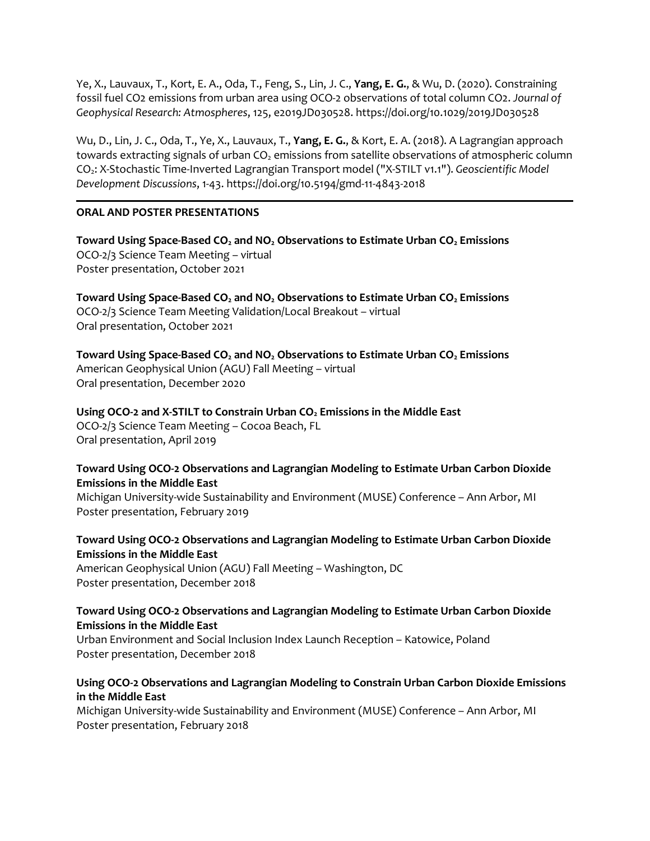Ye, X., Lauvaux, T., Kort, E. A., Oda, T., Feng, S., Lin, J. C., **Yang, E. G.**, & Wu, D. (2020). Constraining fossil fuel CO2 emissions from urban area using OCO-2 observations of total column CO2. *Journal of Geophysical Research: Atmospheres*, 125, e2019JD030528. https://doi.org/10.1029/2019JD030528

Wu, D., Lin, J. C., Oda, T., Ye, X., Lauvaux, T., **Yang, E. G.**, & Kort, E. A. (2018). A Lagrangian approach towards extracting signals of urban  $CO<sub>2</sub>$  emissions from satellite observations of atmospheric column CO2: X-Stochastic Time-Inverted Lagrangian Transport model ("X-STILT v1.1"). *Geoscientific Model Development Discussions*, 1-43. https://doi.org/10.5194/gmd-11-4843-2018

### **ORAL AND POSTER PRESENTATIONS**

**Toward Using Space-Based CO<sup>2</sup> and NO<sup>2</sup> Observations to Estimate Urban CO<sup>2</sup> Emissions** OCO-2/3 Science Team Meeting – virtual Poster presentation, October 2021

**Toward Using Space-Based CO<sup>2</sup> and NO<sup>2</sup> Observations to Estimate Urban CO<sup>2</sup> Emissions** OCO-2/3 Science Team Meeting Validation/Local Breakout – virtual Oral presentation, October 2021

**Toward Using Space-Based CO<sup>2</sup> and NO<sup>2</sup> Observations to Estimate Urban CO<sup>2</sup> Emissions** American Geophysical Union (AGU) Fall Meeting – virtual Oral presentation, December 2020

**Using OCO-2 and X-STILT to Constrain Urban CO<sup>2</sup> Emissions in the Middle East** OCO-2/3 Science Team Meeting – Cocoa Beach, FL Oral presentation, April 2019

### **Toward Using OCO-2 Observations and Lagrangian Modeling to Estimate Urban Carbon Dioxide Emissions in the Middle East**

Michigan University-wide Sustainability and Environment (MUSE) Conference – Ann Arbor, MI Poster presentation, February 2019

## **Toward Using OCO-2 Observations and Lagrangian Modeling to Estimate Urban Carbon Dioxide Emissions in the Middle East**

American Geophysical Union (AGU) Fall Meeting – Washington, DC Poster presentation, December 2018

### **Toward Using OCO-2 Observations and Lagrangian Modeling to Estimate Urban Carbon Dioxide Emissions in the Middle East**

Urban Environment and Social Inclusion Index Launch Reception – Katowice, Poland Poster presentation, December 2018

### **Using OCO-2 Observations and Lagrangian Modeling to Constrain Urban Carbon Dioxide Emissions in the Middle East**

Michigan University-wide Sustainability and Environment (MUSE) Conference – Ann Arbor, MI Poster presentation, February 2018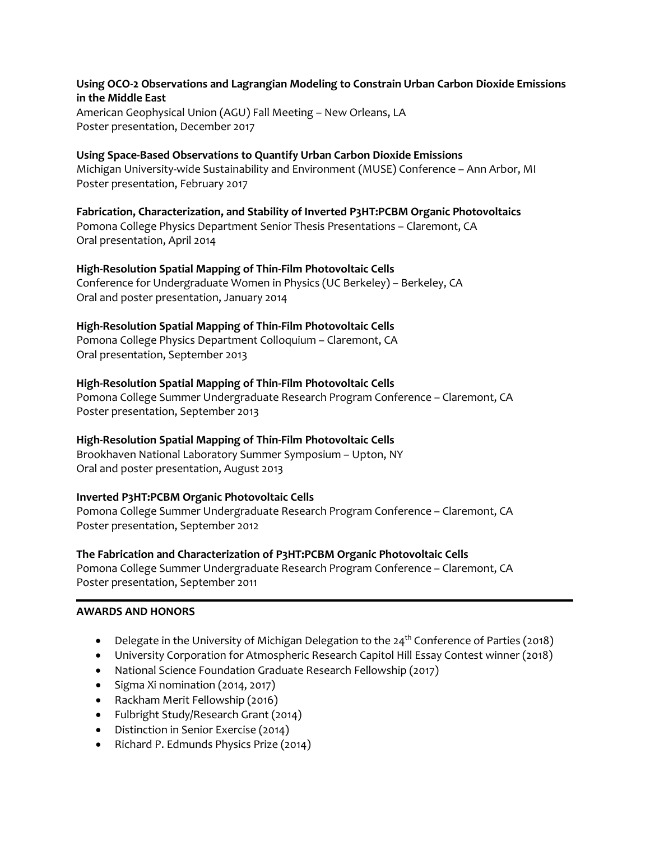### **Using OCO-2 Observations and Lagrangian Modeling to Constrain Urban Carbon Dioxide Emissions in the Middle East**

American Geophysical Union (AGU) Fall Meeting – New Orleans, LA Poster presentation, December 2017

# **Using Space-Based Observations to Quantify Urban Carbon Dioxide Emissions**

Michigan University-wide Sustainability and Environment (MUSE) Conference – Ann Arbor, MI Poster presentation, February 2017

### **Fabrication, Characterization, and Stability of Inverted P3HT:PCBM Organic Photovoltaics**

Pomona College Physics Department Senior Thesis Presentations – Claremont, CA Oral presentation, April 2014

### **High-Resolution Spatial Mapping of Thin-Film Photovoltaic Cells**

Conference for Undergraduate Women in Physics (UC Berkeley) – Berkeley, CA Oral and poster presentation, January 2014

### **High-Resolution Spatial Mapping of Thin-Film Photovoltaic Cells**

Pomona College Physics Department Colloquium – Claremont, CA Oral presentation, September 2013

### **High-Resolution Spatial Mapping of Thin-Film Photovoltaic Cells**

Pomona College Summer Undergraduate Research Program Conference – Claremont, CA Poster presentation, September 2013

### **High-Resolution Spatial Mapping of Thin-Film Photovoltaic Cells**

Brookhaven National Laboratory Summer Symposium – Upton, NY Oral and poster presentation, August 2013

### **Inverted P3HT:PCBM Organic Photovoltaic Cells**

Pomona College Summer Undergraduate Research Program Conference – Claremont, CA Poster presentation, September 2012

#### **The Fabrication and Characterization of P3HT:PCBM Organic Photovoltaic Cells**

Pomona College Summer Undergraduate Research Program Conference – Claremont, CA Poster presentation, September 2011

### **AWARDS AND HONORS**

- Delegate in the University of Michigan Delegation to the  $24<sup>th</sup>$  Conference of Parties (2018)
- University Corporation for Atmospheric Research Capitol Hill Essay Contest winner (2018)
- National Science Foundation Graduate Research Fellowship (2017)
- Sigma Xi nomination (2014, 2017)
- Rackham Merit Fellowship (2016)
- Fulbright Study/Research Grant (2014)
- Distinction in Senior Exercise (2014)
- Richard P. Edmunds Physics Prize (2014)